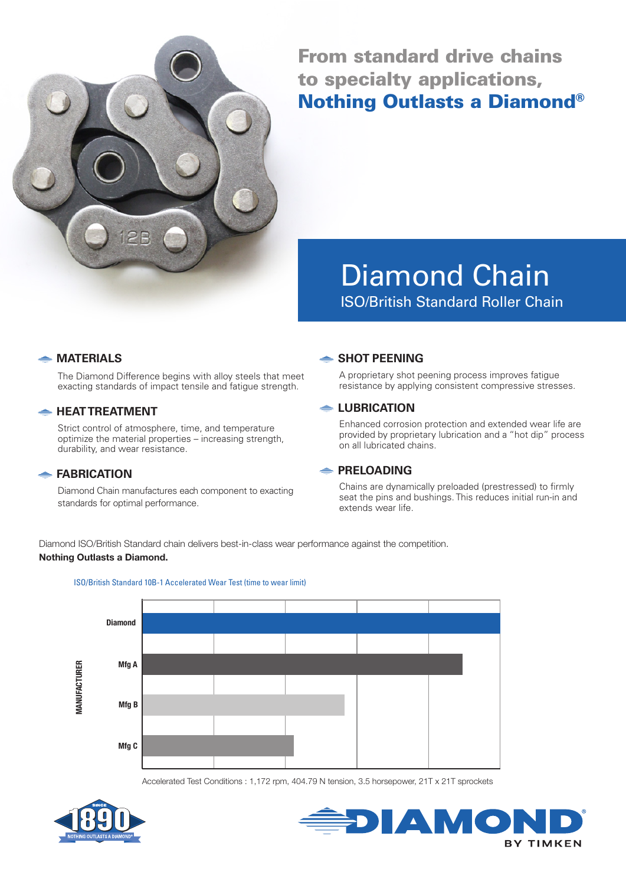

From standard drive chains to specialty applications, Nothing Outlasts a Diamond®

# Diamond Chain ISO/British Standard Roller Chain

#### **MATERIALS**

The Diamond Difference begins with alloy steels that meet exacting standards of impact tensile and fatigue strength.

#### **EXAMPLE HEAT TREATMENT**

 Strict control of atmosphere, time, and temperature optimize the material properties – increasing strength, durability, and wear resistance.

#### **FABRICATION**

 Diamond Chain manufactures each component to exacting standards for optimal performance.

#### **SHOT PEENING**

 A proprietary shot peening process improves fatigue resistance by applying consistent compressive stresses.

#### **← LUBRICATION**

Enhanced corrosion protection and extended wear life are provided by proprietary lubrication and a "hot dip" process on all lubricated chains.

#### **PRELOADING**

 Chains are dynamically preloaded (prestressed) to firmly seat the pins and bushings. This reduces initial run-in and extends wear life.

Diamond ISO/British Standard chain delivers best-in-class wear performance against the competition. Nothing Outlasts a Diamond.



Accelerated Test Conditions : 1,172 rpm, 404.79 N tension, 3.5 horsepower, 21T x 21T sprockets





#### ISO/British Standard 10B-1 Accelerated Wear Test (time to wear limit)